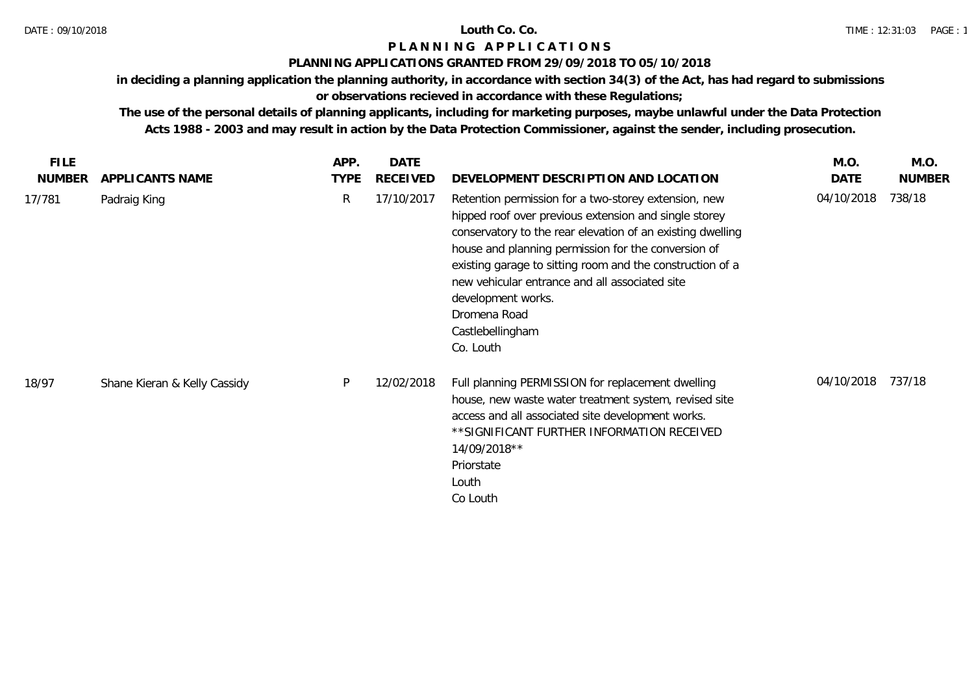### **PLANNING APPLICATIONS GRANTED FROM 29/09/2018 TO 05/10/2018**

**in deciding a planning application the planning authority, in accordance with section 34(3) of the Act, has had regard to submissions** 

# **or observations recieved in accordance with these Regulations;**

| <b>FILE</b>   |                              | APP.        | <b>DATE</b>     |                                                                                                                                                                                                                                                                                                                                                                                                                          | M.O.       | M.O.          |
|---------------|------------------------------|-------------|-----------------|--------------------------------------------------------------------------------------------------------------------------------------------------------------------------------------------------------------------------------------------------------------------------------------------------------------------------------------------------------------------------------------------------------------------------|------------|---------------|
| <b>NUMBER</b> | APPLICANTS NAME              | <b>TYPE</b> | <b>RECEIVED</b> | DEVELOPMENT DESCRIPTION AND LOCATION                                                                                                                                                                                                                                                                                                                                                                                     | DATE       | <b>NUMBER</b> |
| 17/781        | Padraig King                 | R           | 17/10/2017      | Retention permission for a two-storey extension, new<br>hipped roof over previous extension and single storey<br>conservatory to the rear elevation of an existing dwelling<br>house and planning permission for the conversion of<br>existing garage to sitting room and the construction of a<br>new vehicular entrance and all associated site<br>development works.<br>Dromena Road<br>Castlebellingham<br>Co. Louth | 04/10/2018 | 738/18        |
| 18/97         | Shane Kieran & Kelly Cassidy | P           | 12/02/2018      | Full planning PERMISSION for replacement dwelling<br>house, new waste water treatment system, revised site<br>access and all associated site development works.<br>** SIGNIFICANT FURTHER INFORMATION RECEIVED<br>14/09/2018**<br>Priorstate<br>Louth<br>Co Louth                                                                                                                                                        | 04/10/2018 | 737/18        |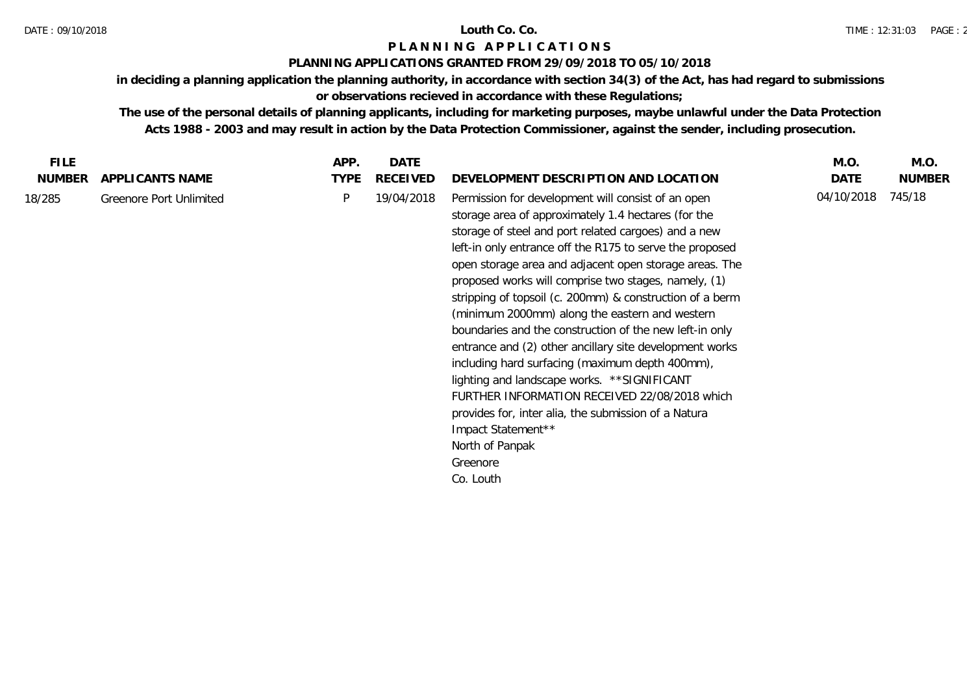### **PLANNING APPLICATIONS GRANTED FROM 29/09/2018 TO 05/10/2018**

**in deciding a planning application the planning authority, in accordance with section 34(3) of the Act, has had regard to submissions** 

**or observations recieved in accordance with these Regulations;**

| <b>FILE</b>   |                                | APP.        | <b>DATE</b>     |                                                                                                                                                                                                                                                                                                                                                                                                                                                                                                                                                                                                                                                                                                                                                                                                                                                                   | M.O.       | M.O.          |
|---------------|--------------------------------|-------------|-----------------|-------------------------------------------------------------------------------------------------------------------------------------------------------------------------------------------------------------------------------------------------------------------------------------------------------------------------------------------------------------------------------------------------------------------------------------------------------------------------------------------------------------------------------------------------------------------------------------------------------------------------------------------------------------------------------------------------------------------------------------------------------------------------------------------------------------------------------------------------------------------|------------|---------------|
| <b>NUMBER</b> | APPLICANTS NAME                | <b>TYPE</b> | <b>RECEIVED</b> | DEVELOPMENT DESCRIPTION AND LOCATION                                                                                                                                                                                                                                                                                                                                                                                                                                                                                                                                                                                                                                                                                                                                                                                                                              | DATE       | <b>NUMBER</b> |
| 18/285        | <b>Greenore Port Unlimited</b> | P           | 19/04/2018      | Permission for development will consist of an open<br>storage area of approximately 1.4 hectares (for the<br>storage of steel and port related cargoes) and a new<br>left-in only entrance off the R175 to serve the proposed<br>open storage area and adjacent open storage areas. The<br>proposed works will comprise two stages, namely, (1)<br>stripping of topsoil (c. 200mm) & construction of a berm<br>(minimum 2000mm) along the eastern and western<br>boundaries and the construction of the new left-in only<br>entrance and (2) other ancillary site development works<br>including hard surfacing (maximum depth 400mm),<br>lighting and landscape works. ** SIGNIFICANT<br>FURTHER INFORMATION RECEIVED 22/08/2018 which<br>provides for, inter alia, the submission of a Natura<br>Impact Statement**<br>North of Panpak<br>Greenore<br>Co. Louth | 04/10/2018 | 745/18        |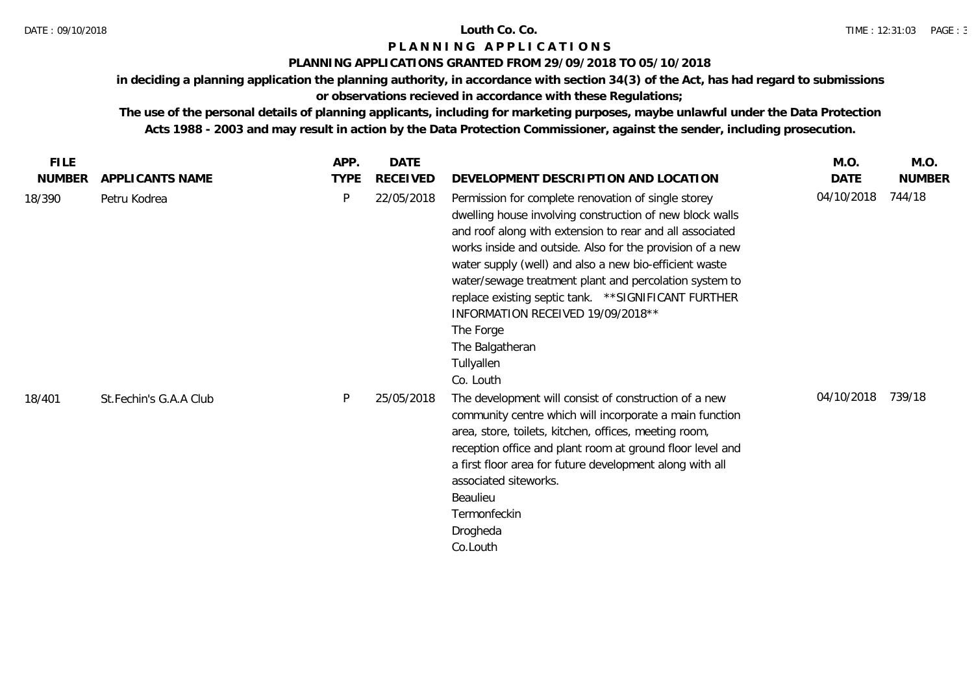### **PLANNING APPLICATIONS GRANTED FROM 29/09/2018 TO 05/10/2018**

**in deciding a planning application the planning authority, in accordance with section 34(3) of the Act, has had regard to submissions** 

## **or observations recieved in accordance with these Regulations;**

| <b>FILE</b>   |                        | APP.        | DATE            |                                                                                                                                                                                                                                                                                                                                                                                                                                                                                                                       | M.O.       | M.O.          |
|---------------|------------------------|-------------|-----------------|-----------------------------------------------------------------------------------------------------------------------------------------------------------------------------------------------------------------------------------------------------------------------------------------------------------------------------------------------------------------------------------------------------------------------------------------------------------------------------------------------------------------------|------------|---------------|
| <b>NUMBER</b> | APPLICANTS NAME        | <b>TYPE</b> | <b>RECEIVED</b> | DEVELOPMENT DESCRIPTION AND LOCATION                                                                                                                                                                                                                                                                                                                                                                                                                                                                                  | DATE       | <b>NUMBER</b> |
| 18/390        | Petru Kodrea           | P           | 22/05/2018      | Permission for complete renovation of single storey<br>dwelling house involving construction of new block walls<br>and roof along with extension to rear and all associated<br>works inside and outside. Also for the provision of a new<br>water supply (well) and also a new bio-efficient waste<br>water/sewage treatment plant and percolation system to<br>replace existing septic tank. ** SIGNIFICANT FURTHER<br>INFORMATION RECEIVED 19/09/2018 **<br>The Forge<br>The Balgatheran<br>Tullyallen<br>Co. Louth | 04/10/2018 | 744/18        |
| 18/401        | St.Fechin's G.A.A Club | P           | 25/05/2018      | The development will consist of construction of a new<br>community centre which will incorporate a main function<br>area, store, toilets, kitchen, offices, meeting room,<br>reception office and plant room at ground floor level and<br>a first floor area for future development along with all<br>associated siteworks.<br>Beaulieu<br>Termonfeckin<br>Drogheda<br>Co.Louth                                                                                                                                       | 04/10/2018 | 739/18        |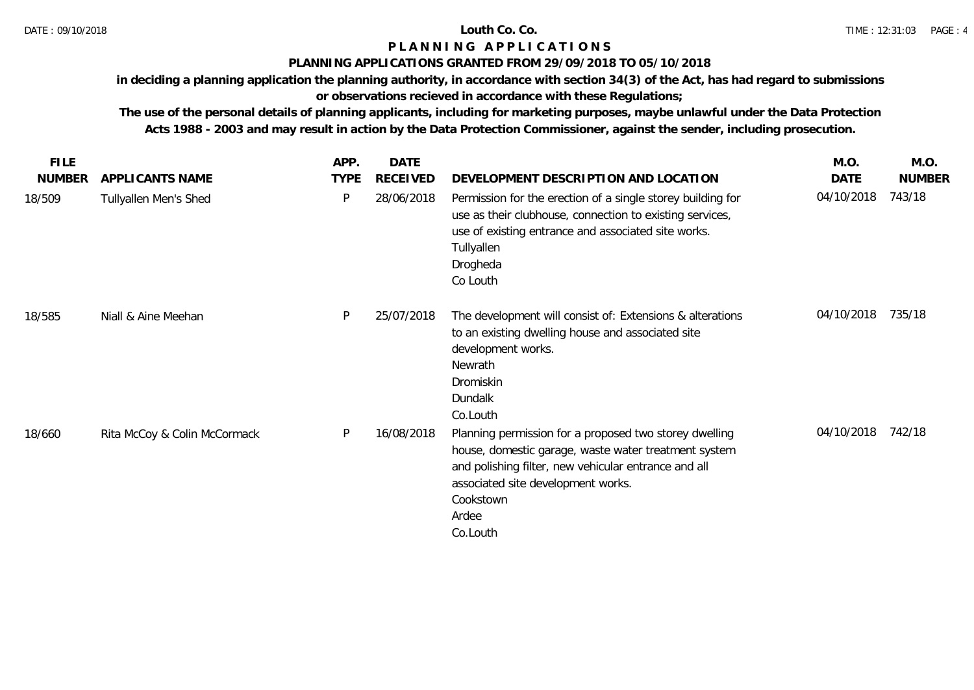## **PLANNING APPLICATIONS GRANTED FROM 29/09/2018 TO 05/10/2018**

**in deciding a planning application the planning authority, in accordance with section 34(3) of the Act, has had regard to submissions** 

# **or observations recieved in accordance with these Regulations;**

| <b>FILE</b>   |                              | APP.        | DATE            |                                                                                                                                                                                                                                                | M.O.       | M.O.          |
|---------------|------------------------------|-------------|-----------------|------------------------------------------------------------------------------------------------------------------------------------------------------------------------------------------------------------------------------------------------|------------|---------------|
| <b>NUMBER</b> | APPLICANTS NAME              | <b>TYPE</b> | <b>RECEIVED</b> | DEVELOPMENT DESCRIPTION AND LOCATION                                                                                                                                                                                                           | DATE       | <b>NUMBER</b> |
| 18/509        | Tullyallen Men's Shed        | P           | 28/06/2018      | Permission for the erection of a single storey building for<br>use as their clubhouse, connection to existing services,<br>use of existing entrance and associated site works.<br>Tullyallen<br>Drogheda<br>Co Louth                           | 04/10/2018 | 743/18        |
| 18/585        | Niall & Aine Meehan          | P           | 25/07/2018      | The development will consist of: Extensions & alterations<br>to an existing dwelling house and associated site<br>development works.<br>Newrath<br>Dromiskin<br>Dundalk<br>Co.Louth                                                            | 04/10/2018 | 735/18        |
| 18/660        | Rita McCoy & Colin McCormack | P           | 16/08/2018      | Planning permission for a proposed two storey dwelling<br>house, domestic garage, waste water treatment system<br>and polishing filter, new vehicular entrance and all<br>associated site development works.<br>Cookstown<br>Ardee<br>Co.Louth | 04/10/2018 | 742/18        |